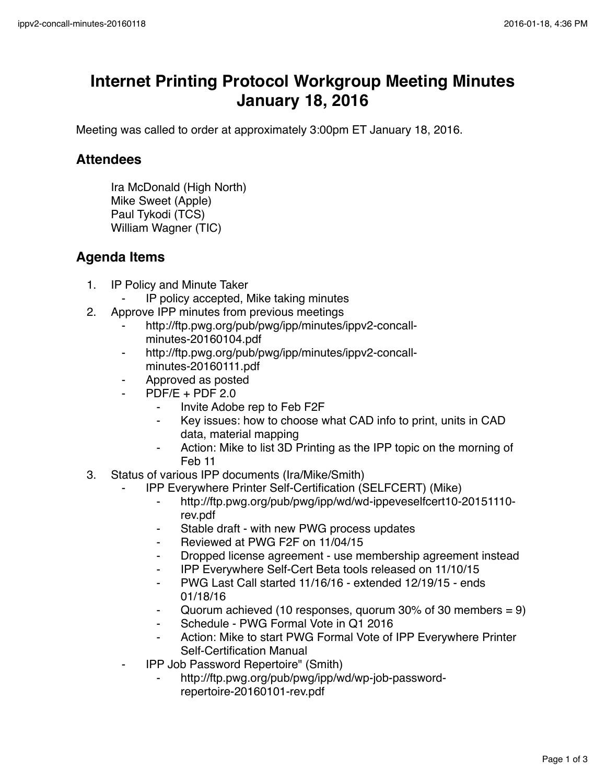## **Internet Printing Protocol Workgroup Meeting Minutes January 18, 2016**

Meeting was called to order at approximately 3:00pm ET January 18, 2016.

## **Attendees**

Ira McDonald (High North) Mike Sweet (Apple) Paul Tykodi (TCS) William Wagner (TIC)

## **Agenda Items**

- 1. IP Policy and Minute Taker
	- ⁃ IP policy accepted, Mike taking minutes
- 2. Approve IPP minutes from previous meetings
	- http://ftp.pwg.org/pub/pwg/ipp/minutes/ippv2-concallminutes-20160104.pdf
	- ⁃ http://ftp.pwg.org/pub/pwg/ipp/minutes/ippv2-concallminutes-20160111.pdf
	- ⁃ Approved as posted
	- $PDF/E + PDF 2.0$ 
		- ⁃ Invite Adobe rep to Feb F2F
		- Key issues: how to choose what CAD info to print, units in CAD data, material mapping
		- Action: Mike to list 3D Printing as the IPP topic on the morning of Feb 11
- 3. Status of various IPP documents (Ira/Mike/Smith)
	- IPP Everywhere Printer Self-Certification (SELFCERT) (Mike)
		- ⁃ http://ftp.pwg.org/pub/pwg/ipp/wd/wd-ippeveselfcert10-20151110 rev.pdf
		- ⁃ Stable draft with new PWG process updates
		- ⁃ Reviewed at PWG F2F on 11/04/15
		- ⁃ Dropped license agreement use membership agreement instead
		- ⁃ IPP Everywhere Self-Cert Beta tools released on 11/10/15
		- PWG Last Call started 11/16/16 extended 12/19/15 ends 01/18/16
		- Quorum achieved (10 responses, quorum 30% of 30 members =  $9$ )
		- Schedule PWG Formal Vote in Q1 2016
		- Action: Mike to start PWG Formal Vote of IPP Everywhere Printer Self-Certification Manual
	- ⁃ IPP Job Password Repertoire" (Smith)
		- http://ftp.pwg.org/pub/pwg/ipp/wd/wp-job-passwordrepertoire-20160101-rev.pdf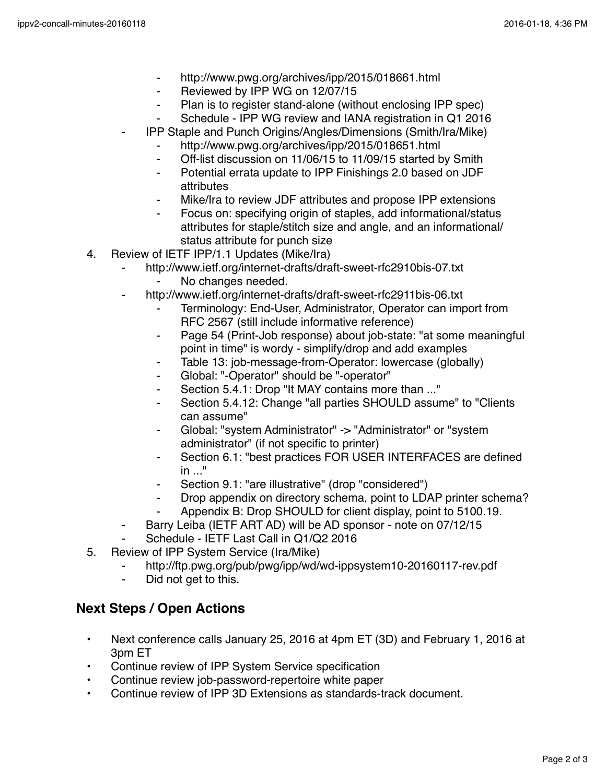- ⁃ http://www.pwg.org/archives/ipp/2015/018661.html
- ⁃ Reviewed by IPP WG on 12/07/15
- ⁃ Plan is to register stand-alone (without enclosing IPP spec)
- Schedule IPP WG review and IANA registration in Q1 2016
- ⁃ IPP Staple and Punch Origins/Angles/Dimensions (Smith/Ira/Mike)
	- http://www.pwg.org/archives/ipp/2015/018651.html
	- ⁃ Off-list discussion on 11/06/15 to 11/09/15 started by Smith
	- ⁃ Potential errata update to IPP Finishings 2.0 based on JDF attributes
	- Mike/Ira to review JDF attributes and propose IPP extensions
	- Focus on: specifying origin of staples, add informational/status attributes for staple/stitch size and angle, and an informational/ status attribute for punch size
- 4. Review of IETF IPP/1.1 Updates (Mike/Ira)
	- ⁃ http://www.ietf.org/internet-drafts/draft-sweet-rfc2910bis-07.txt
		- No changes needed.
	- http://www.ietf.org/internet-drafts/draft-sweet-rfc2911bis-06.txt
		- Terminology: End-User, Administrator, Operator can import from RFC 2567 (still include informative reference)
		- ⁃ Page 54 (Print-Job response) about job-state: "at some meaningful point in time" is wordy - simplify/drop and add examples
		- ⁃ Table 13: job-message-from-Operator: lowercase (globally)
		- Global: "-Operator" should be "-operator"
		- ⁃ Section 5.4.1: Drop "It MAY contains more than ..."
		- Section 5.4.12: Change "all parties SHOULD assume" to "Clients" can assume"
		- Global: "system Administrator" -> "Administrator" or "system administrator" (if not specific to printer)
		- Section 6.1: "best practices FOR USER INTERFACES are defined  $in$   $"$
		- Section 9.1: "are illustrative" (drop "considered")
		- ⁃ Drop appendix on directory schema, point to LDAP printer schema?
		- Appendix B: Drop SHOULD for client display, point to 5100.19.
		- Barry Leiba (IETF ART AD) will be AD sponsor note on 07/12/15
	- Schedule IETF Last Call in Q1/Q2 2016
- 5. Review of IPP System Service (Ira/Mike)
	- ⁃ http://ftp.pwg.org/pub/pwg/ipp/wd/wd-ippsystem10-20160117-rev.pdf
	- ⁃ Did not get to this.

## **Next Steps / Open Actions**

- Next conference calls January 25, 2016 at 4pm ET (3D) and February 1, 2016 at 3pm ET
- Continue review of IPP System Service specification
- Continue review job-password-repertoire white paper
- Continue review of IPP 3D Extensions as standards-track document.